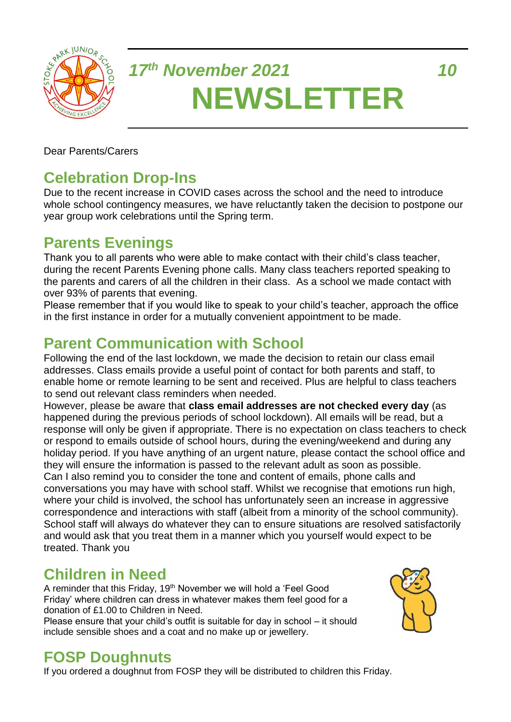

# *17th November 2021 10* **NEWSLETTER**

Dear Parents/Carers

# **Celebration Drop-Ins**

Due to the recent increase in COVID cases across the school and the need to introduce whole school contingency measures, we have reluctantly taken the decision to postpone our year group work celebrations until the Spring term.

## **Parents Evenings**

Thank you to all parents who were able to make contact with their child's class teacher, during the recent Parents Evening phone calls. Many class teachers reported speaking to the parents and carers of all the children in their class. As a school we made contact with over 93% of parents that evening.

Please remember that if you would like to speak to your child's teacher, approach the office in the first instance in order for a mutually convenient appointment to be made.

## **Parent Communication with School**

Following the end of the last lockdown, we made the decision to retain our class email addresses. Class emails provide a useful point of contact for both parents and staff, to enable home or remote learning to be sent and received. Plus are helpful to class teachers to send out relevant class reminders when needed.

However, please be aware that **class email addresses are not checked every day** (as happened during the previous periods of school lockdown). All emails will be read, but a response will only be given if appropriate. There is no expectation on class teachers to check or respond to emails outside of school hours, during the evening/weekend and during any holiday period. If you have anything of an urgent nature, please contact the school office and they will ensure the information is passed to the relevant adult as soon as possible. Can I also remind you to consider the tone and content of emails, phone calls and conversations you may have with school staff. Whilst we recognise that emotions run high, where your child is involved, the school has unfortunately seen an increase in aggressive correspondence and interactions with staff (albeit from a minority of the school community). School staff will always do whatever they can to ensure situations are resolved satisfactorily and would ask that you treat them in a manner which you yourself would expect to be treated. Thank you

# **Children in Need**

A reminder that this Friday, 19<sup>th</sup> November we will hold a 'Feel Good Friday' where children can dress in whatever makes them feel good for a donation of £1.00 to Children in Need.

Please ensure that your child's outfit is suitable for day in school – it should include sensible shoes and a coat and no make up or jewellery.



# **FOSP Doughnuts**

If you ordered a doughnut from FOSP they will be distributed to children this Friday.